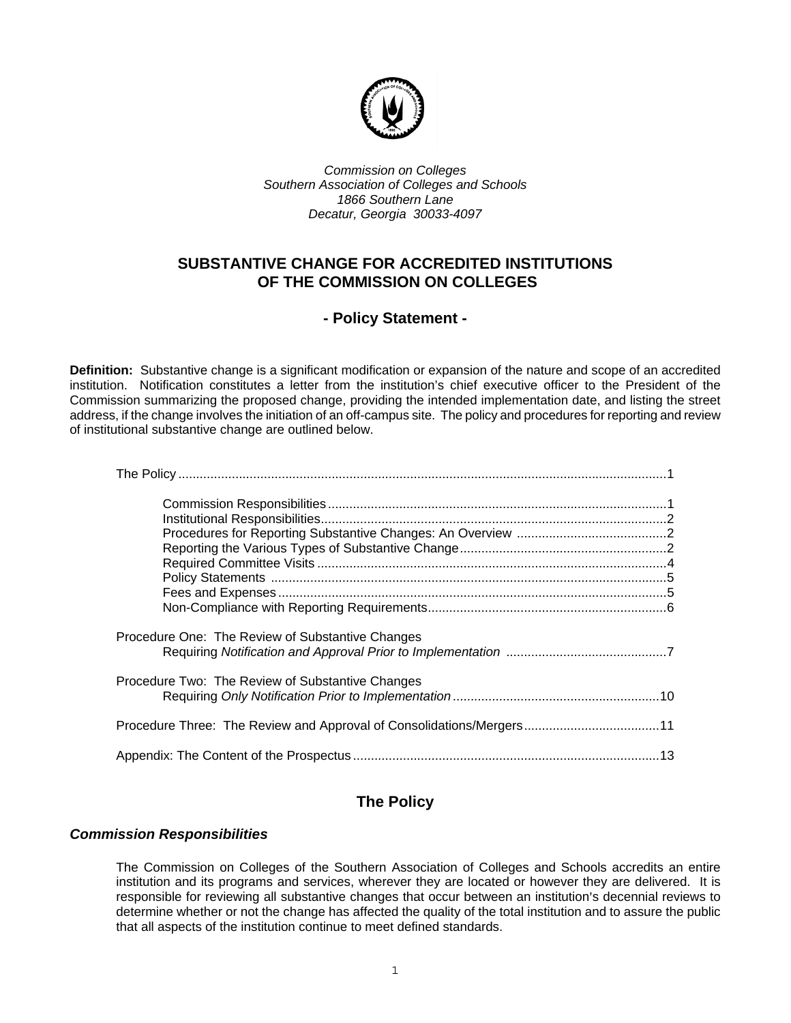

*Commission on Colleges Southern Association of Colleges and Schools 1866 Southern Lane Decatur, Georgia 30033-4097* 

# **SUBSTANTIVE CHANGE FOR ACCREDITED INSTITUTIONS OF THE COMMISSION ON COLLEGES**

# **- Policy Statement -**

**Definition:** Substantive change is a significant modification or expansion of the nature and scope of an accredited institution. Notification constitutes a letter from the institution's chief executive officer to the President of the Commission summarizing the proposed change, providing the intended implementation date, and listing the street address, if the change involves the initiation of an off-campus site. The policy and procedures for reporting and review of institutional substantive change are outlined below.

| Procedure One: The Review of Substantive Changes |  |
|--------------------------------------------------|--|
| Procedure Two: The Review of Substantive Changes |  |
|                                                  |  |
|                                                  |  |

# **The Policy**

## *Commission Responsibilities*

The Commission on Colleges of the Southern Association of Colleges and Schools accredits an entire institution and its programs and services, wherever they are located or however they are delivered. It is responsible for reviewing all substantive changes that occur between an institution's decennial reviews to determine whether or not the change has affected the quality of the total institution and to assure the public that all aspects of the institution continue to meet defined standards.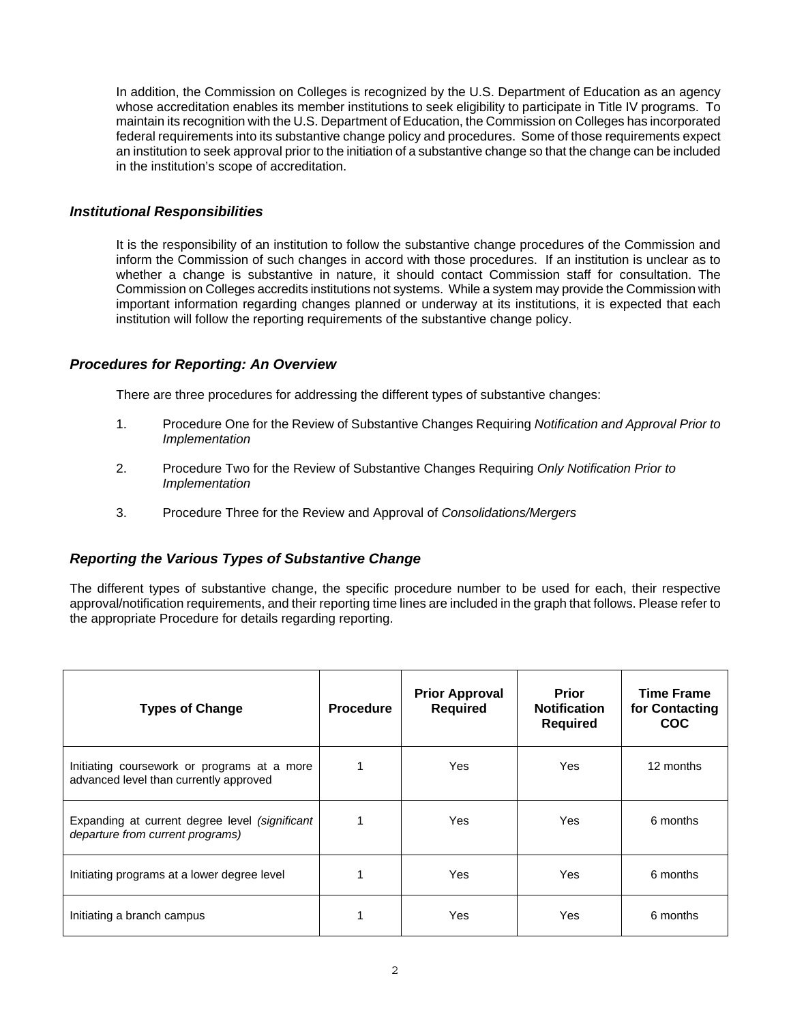In addition, the Commission on Colleges is recognized by the U.S. Department of Education as an agency whose accreditation enables its member institutions to seek eligibility to participate in Title IV programs. To maintain its recognition with the U.S. Department of Education, the Commission on Colleges has incorporated federal requirements into its substantive change policy and procedures. Some of those requirements expect an institution to seek approval prior to the initiation of a substantive change so that the change can be included in the institution's scope of accreditation.

## *Institutional Responsibilities*

It is the responsibility of an institution to follow the substantive change procedures of the Commission and inform the Commission of such changes in accord with those procedures. If an institution is unclear as to whether a change is substantive in nature, it should contact Commission staff for consultation. The Commission on Colleges accredits institutions not systems. While a system may provide the Commission with important information regarding changes planned or underway at its institutions, it is expected that each institution will follow the reporting requirements of the substantive change policy.

## *Procedures for Reporting: An Overview*

There are three procedures for addressing the different types of substantive changes:

- 1. Procedure One for the Review of Substantive Changes Requiring *Notification and Approval Prior to Implementation*
- 2. Procedure Two for the Review of Substantive Changes Requiring *Only Notification Prior to Implementation*
- 3. Procedure Three for the Review and Approval of *Consolidations/Mergers*

## *Reporting the Various Types of Substantive Change*

The different types of substantive change, the specific procedure number to be used for each, their respective approval/notification requirements, and their reporting time lines are included in the graph that follows. Please refer to the appropriate Procedure for details regarding reporting.

| <b>Types of Change</b>                                                                | <b>Procedure</b> | <b>Prior Approval</b><br><b>Required</b> | <b>Prior</b><br><b>Notification</b><br><b>Required</b> | <b>Time Frame</b><br>for Contacting<br><b>COC</b> |
|---------------------------------------------------------------------------------------|------------------|------------------------------------------|--------------------------------------------------------|---------------------------------------------------|
| Initiating coursework or programs at a more<br>advanced level than currently approved |                  | <b>Yes</b>                               | <b>Yes</b>                                             | 12 months                                         |
| Expanding at current degree level (significant<br>departure from current programs)    |                  | <b>Yes</b>                               | Yes                                                    | 6 months                                          |
| Initiating programs at a lower degree level                                           |                  | <b>Yes</b>                               | Yes                                                    | 6 months                                          |
| Initiating a branch campus                                                            |                  | Yes                                      | Yes                                                    | 6 months                                          |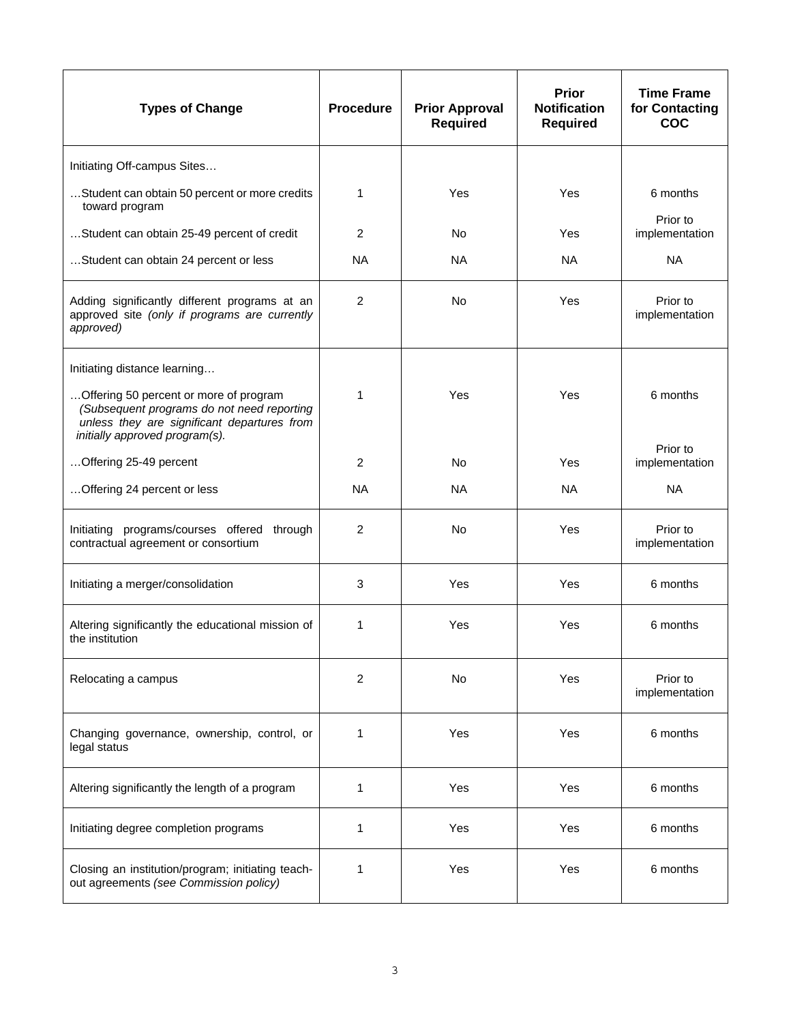| <b>Types of Change</b>                                                                                                                                                | <b>Procedure</b> | <b>Prior Approval</b><br><b>Required</b> | <b>Prior</b><br><b>Notification</b><br><b>Required</b> | <b>Time Frame</b><br>for Contacting<br><b>COC</b> |
|-----------------------------------------------------------------------------------------------------------------------------------------------------------------------|------------------|------------------------------------------|--------------------------------------------------------|---------------------------------------------------|
| Initiating Off-campus Sites                                                                                                                                           |                  |                                          |                                                        |                                                   |
| Student can obtain 50 percent or more credits<br>toward program                                                                                                       | 1                | Yes                                      | Yes                                                    | 6 months                                          |
| Student can obtain 25-49 percent of credit                                                                                                                            | 2                | No                                       | Yes                                                    | Prior to<br>implementation                        |
| Student can obtain 24 percent or less                                                                                                                                 | <b>NA</b>        | <b>NA</b>                                | <b>NA</b>                                              | <b>NA</b>                                         |
| Adding significantly different programs at an<br>approved site (only if programs are currently<br>approved)                                                           | 2                | <b>No</b>                                | Yes                                                    | Prior to<br>implementation                        |
| Initiating distance learning                                                                                                                                          |                  |                                          |                                                        |                                                   |
| Offering 50 percent or more of program<br>(Subsequent programs do not need reporting<br>unless they are significant departures from<br>initially approved program(s). | 1                | Yes                                      | Yes                                                    | 6 months                                          |
| Offering 25-49 percent                                                                                                                                                | $\overline{2}$   | <b>No</b>                                | Yes                                                    | Prior to<br>implementation                        |
| Offering 24 percent or less                                                                                                                                           | <b>NA</b>        | <b>NA</b>                                | <b>NA</b>                                              | <b>NA</b>                                         |
| Initiating programs/courses offered through<br>contractual agreement or consortium                                                                                    | 2                | <b>No</b>                                | Yes                                                    | Prior to<br>implementation                        |
| Initiating a merger/consolidation                                                                                                                                     | 3                | Yes                                      | Yes                                                    | 6 months                                          |
| Altering significantly the educational mission of<br>the institution                                                                                                  | 1                | Yes                                      | Yes                                                    | 6 months                                          |
| Relocating a campus                                                                                                                                                   | $\overline{2}$   | No                                       | Yes                                                    | Prior to<br>implementation                        |
| Changing governance, ownership, control, or<br>legal status                                                                                                           | 1                | Yes                                      | Yes                                                    | 6 months                                          |
| Altering significantly the length of a program                                                                                                                        | 1                | Yes                                      | Yes                                                    | 6 months                                          |
| Initiating degree completion programs                                                                                                                                 | 1                | Yes                                      | Yes                                                    | 6 months                                          |
| Closing an institution/program; initiating teach-<br>out agreements (see Commission policy)                                                                           | 1                | Yes                                      | Yes                                                    | 6 months                                          |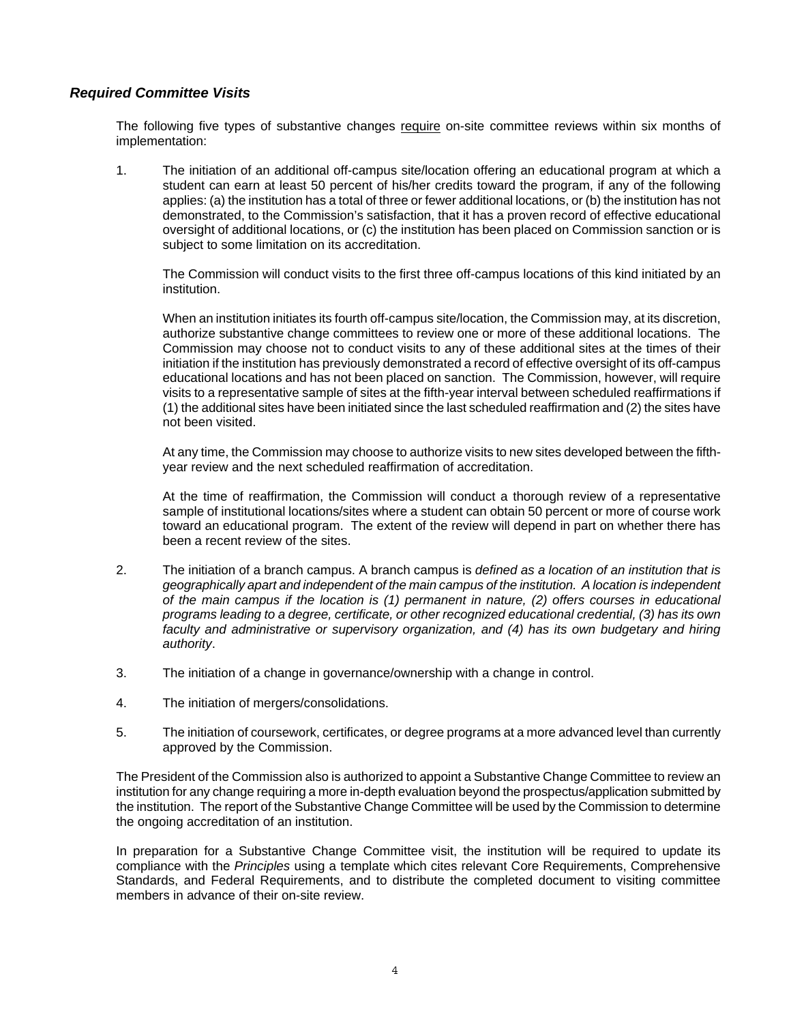## *Required Committee Visits*

The following five types of substantive changes require on-site committee reviews within six months of implementation:

1. The initiation of an additional off-campus site/location offering an educational program at which a student can earn at least 50 percent of his/her credits toward the program, if any of the following applies: (a) the institution has a total of three or fewer additional locations, or (b) the institution has not demonstrated, to the Commission's satisfaction, that it has a proven record of effective educational oversight of additional locations, or (c) the institution has been placed on Commission sanction or is subject to some limitation on its accreditation.

The Commission will conduct visits to the first three off-campus locations of this kind initiated by an institution.

When an institution initiates its fourth off-campus site/location, the Commission may, at its discretion, authorize substantive change committees to review one or more of these additional locations. The Commission may choose not to conduct visits to any of these additional sites at the times of their initiation if the institution has previously demonstrated a record of effective oversight of its off-campus educational locations and has not been placed on sanction. The Commission, however, will require visits to a representative sample of sites at the fifth-year interval between scheduled reaffirmations if (1) the additional sites have been initiated since the last scheduled reaffirmation and (2) the sites have not been visited.

At any time, the Commission may choose to authorize visits to new sites developed between the fifthyear review and the next scheduled reaffirmation of accreditation.

At the time of reaffirmation, the Commission will conduct a thorough review of a representative sample of institutional locations/sites where a student can obtain 50 percent or more of course work toward an educational program. The extent of the review will depend in part on whether there has been a recent review of the sites.

- 2. The initiation of a branch campus. A branch campus is *defined as a location of an institution that is geographically apart and independent of the main campus of the institution. A location is independent of the main campus if the location is (1) permanent in nature, (2) offers courses in educational programs leading to a degree, certificate, or other recognized educational credential, (3) has its own faculty and administrative or supervisory organization, and (4) has its own budgetary and hiring authority*.
- 3. The initiation of a change in governance/ownership with a change in control.
- 4. The initiation of mergers/consolidations.
- 5. The initiation of coursework, certificates, or degree programs at a more advanced level than currently approved by the Commission.

The President of the Commission also is authorized to appoint a Substantive Change Committee to review an institution for any change requiring a more in-depth evaluation beyond the prospectus/application submitted by the institution. The report of the Substantive Change Committee will be used by the Commission to determine the ongoing accreditation of an institution.

In preparation for a Substantive Change Committee visit, the institution will be required to update its compliance with the *Principles* using a template which cites relevant Core Requirements, Comprehensive Standards, and Federal Requirements, and to distribute the completed document to visiting committee members in advance of their on-site review.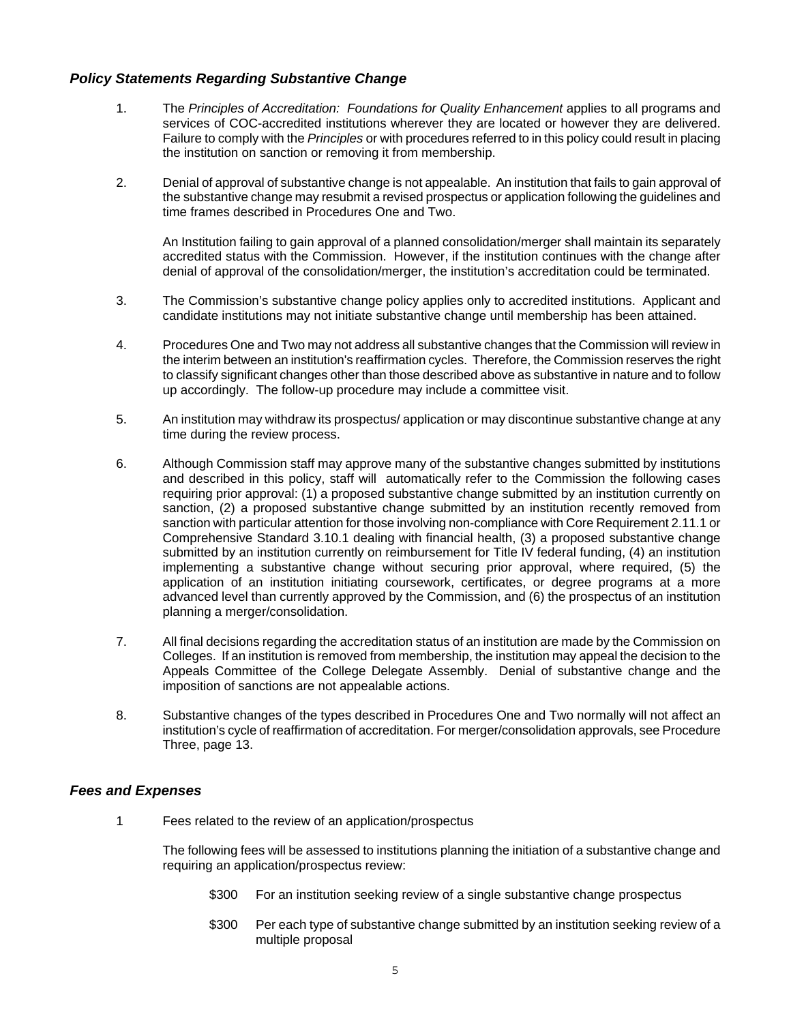## *Policy Statements Regarding Substantive Change*

- 1. The *Principles of Accreditation: Foundations for Quality Enhancement* applies to all programs and services of COC-accredited institutions wherever they are located or however they are delivered. Failure to comply with the *Principles* or with procedures referred to in this policy could result in placing the institution on sanction or removing it from membership.
- 2. Denial of approval of substantive change is not appealable. An institution that fails to gain approval of the substantive change may resubmit a revised prospectus or application following the guidelines and time frames described in Procedures One and Two.

An Institution failing to gain approval of a planned consolidation/merger shall maintain its separately accredited status with the Commission. However, if the institution continues with the change after denial of approval of the consolidation/merger, the institution's accreditation could be terminated.

- 3. The Commission's substantive change policy applies only to accredited institutions. Applicant and candidate institutions may not initiate substantive change until membership has been attained.
- 4. Procedures One and Two may not address all substantive changes that the Commission will review in the interim between an institution's reaffirmation cycles. Therefore, the Commission reserves the right to classify significant changes other than those described above as substantive in nature and to follow up accordingly. The follow-up procedure may include a committee visit.
- 5. An institution may withdraw its prospectus/ application or may discontinue substantive change at any time during the review process.
- 6. Although Commission staff may approve many of the substantive changes submitted by institutions and described in this policy, staff will automatically refer to the Commission the following cases requiring prior approval: (1) a proposed substantive change submitted by an institution currently on sanction, (2) a proposed substantive change submitted by an institution recently removed from sanction with particular attention for those involving non-compliance with Core Requirement 2.11.1 or Comprehensive Standard 3.10.1 dealing with financial health, (3) a proposed substantive change submitted by an institution currently on reimbursement for Title IV federal funding, (4) an institution implementing a substantive change without securing prior approval, where required, (5) the application of an institution initiating coursework, certificates, or degree programs at a more advanced level than currently approved by the Commission, and (6) the prospectus of an institution planning a merger/consolidation.
- 7. All final decisions regarding the accreditation status of an institution are made by the Commission on Colleges. If an institution is removed from membership, the institution may appeal the decision to the Appeals Committee of the College Delegate Assembly. Denial of substantive change and the imposition of sanctions are not appealable actions.
- 8. Substantive changes of the types described in Procedures One and Two normally will not affect an institution's cycle of reaffirmation of accreditation. For merger/consolidation approvals, see Procedure Three, page 13.

## *Fees and Expenses*

1 Fees related to the review of an application/prospectus

The following fees will be assessed to institutions planning the initiation of a substantive change and requiring an application/prospectus review:

- \$300 For an institution seeking review of a single substantive change prospectus
- \$300 Per each type of substantive change submitted by an institution seeking review of a multiple proposal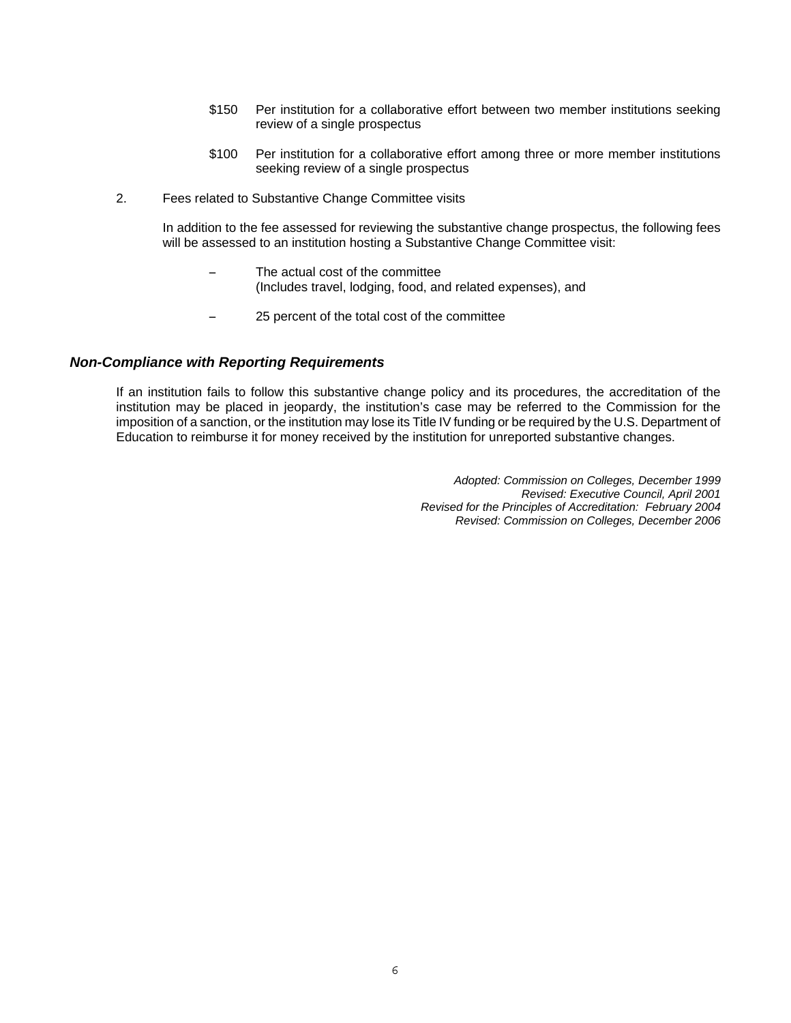- \$150 Per institution for a collaborative effort between two member institutions seeking review of a single prospectus
- \$100 Per institution for a collaborative effort among three or more member institutions seeking review of a single prospectus
- 2. Fees related to Substantive Change Committee visits

In addition to the fee assessed for reviewing the substantive change prospectus, the following fees will be assessed to an institution hosting a Substantive Change Committee visit:

- The actual cost of the committee (Includes travel, lodging, food, and related expenses), and
- 25 percent of the total cost of the committee

#### *Non-Compliance with Reporting Requirements*

If an institution fails to follow this substantive change policy and its procedures, the accreditation of the institution may be placed in jeopardy, the institution's case may be referred to the Commission for the imposition of a sanction, or the institution may lose its Title IV funding or be required by the U.S. Department of Education to reimburse it for money received by the institution for unreported substantive changes.

> *Adopted: Commission on Colleges, December 1999 Revised: Executive Council, April 2001 Revised for the Principles of Accreditation: February 2004 Revised: Commission on Colleges, December 2006*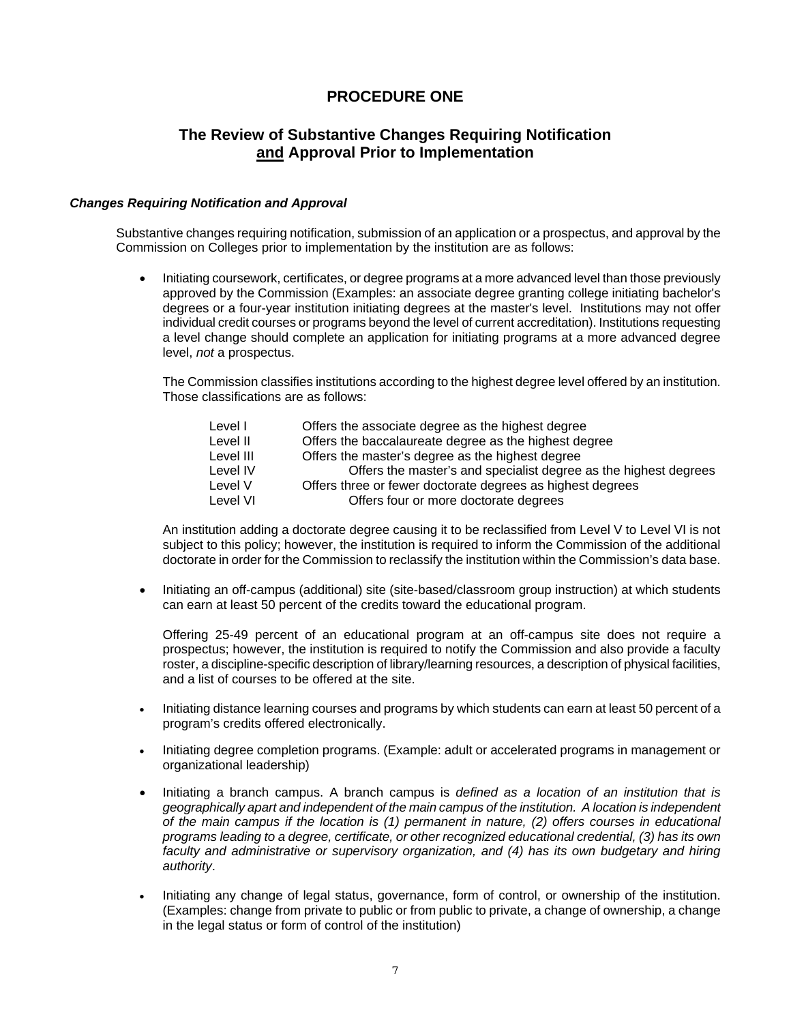## **PROCEDURE ONE**

## **The Review of Substantive Changes Requiring Notification and Approval Prior to Implementation**

#### *Changes Requiring Notification and Approval*

Substantive changes requiring notification, submission of an application or a prospectus, and approval by the Commission on Colleges prior to implementation by the institution are as follows:

• Initiating coursework, certificates, or degree programs at a more advanced level than those previously approved by the Commission (Examples: an associate degree granting college initiating bachelor's degrees or a four-year institution initiating degrees at the master's level. Institutions may not offer individual credit courses or programs beyond the level of current accreditation). Institutions requesting a level change should complete an application for initiating programs at a more advanced degree level, *not* a prospectus.

 The Commission classifies institutions according to the highest degree level offered by an institution. Those classifications are as follows:

| Level I   | Offers the associate degree as the highest degree                |
|-----------|------------------------------------------------------------------|
| Level II  | Offers the baccalaureate degree as the highest degree            |
| Level III | Offers the master's degree as the highest degree                 |
| Level IV  | Offers the master's and specialist degree as the highest degrees |
| Level V   | Offers three or fewer doctorate degrees as highest degrees       |
| Level VI  | Offers four or more doctorate degrees                            |

 An institution adding a doctorate degree causing it to be reclassified from Level V to Level VI is not subject to this policy; however, the institution is required to inform the Commission of the additional doctorate in order for the Commission to reclassify the institution within the Commission's data base.

• Initiating an off-campus (additional) site (site-based/classroom group instruction) at which students can earn at least 50 percent of the credits toward the educational program.

 Offering 25-49 percent of an educational program at an off-campus site does not require a prospectus; however, the institution is required to notify the Commission and also provide a faculty roster, a discipline-specific description of library/learning resources, a description of physical facilities, and a list of courses to be offered at the site.

- Initiating distance learning courses and programs by which students can earn at least 50 percent of a program's credits offered electronically.
- Initiating degree completion programs. (Example: adult or accelerated programs in management or organizational leadership)
- Initiating a branch campus. A branch campus is *defined as a location of an institution that is geographically apart and independent of the main campus of the institution. A location is independent of the main campus if the location is (1) permanent in nature, (2) offers courses in educational programs leading to a degree, certificate, or other recognized educational credential, (3) has its own faculty and administrative or supervisory organization, and (4) has its own budgetary and hiring authority*.
- Initiating any change of legal status, governance, form of control, or ownership of the institution. (Examples: change from private to public or from public to private, a change of ownership, a change in the legal status or form of control of the institution)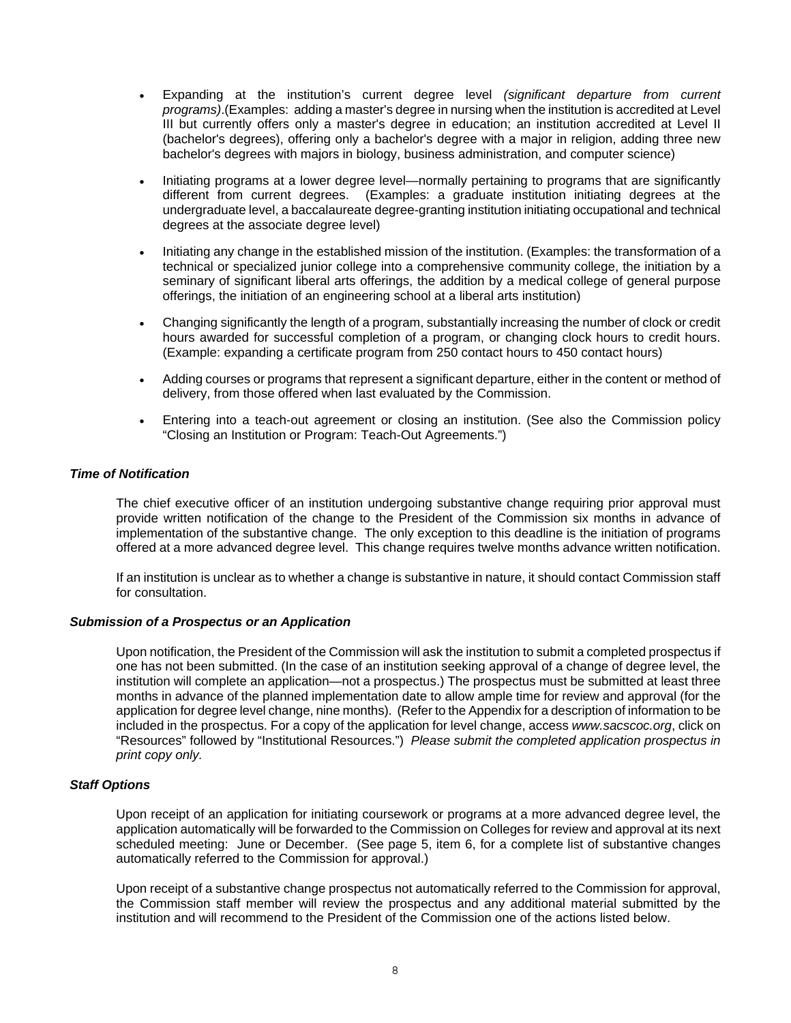- Expanding at the institution's current degree level *(significant departure from current programs)*.(Examples: adding a master's degree in nursing when the institution is accredited at Level III but currently offers only a master's degree in education; an institution accredited at Level II (bachelor's degrees), offering only a bachelor's degree with a major in religion, adding three new bachelor's degrees with majors in biology, business administration, and computer science)
- Initiating programs at a lower degree level—normally pertaining to programs that are significantly different from current degrees. (Examples: a graduate institution initiating degrees at the undergraduate level, a baccalaureate degree-granting institution initiating occupational and technical degrees at the associate degree level)
- Initiating any change in the established mission of the institution. (Examples: the transformation of a technical or specialized junior college into a comprehensive community college, the initiation by a seminary of significant liberal arts offerings, the addition by a medical college of general purpose offerings, the initiation of an engineering school at a liberal arts institution)
- Changing significantly the length of a program, substantially increasing the number of clock or credit hours awarded for successful completion of a program, or changing clock hours to credit hours. (Example: expanding a certificate program from 250 contact hours to 450 contact hours)
- Adding courses or programs that represent a significant departure, either in the content or method of delivery, from those offered when last evaluated by the Commission.
- Entering into a teach-out agreement or closing an institution. (See also the Commission policy "Closing an Institution or Program: Teach-Out Agreements.")

#### *Time of Notification*

The chief executive officer of an institution undergoing substantive change requiring prior approval must provide written notification of the change to the President of the Commission six months in advance of implementation of the substantive change. The only exception to this deadline is the initiation of programs offered at a more advanced degree level. This change requires twelve months advance written notification.

If an institution is unclear as to whether a change is substantive in nature, it should contact Commission staff for consultation.

#### *Submission of a Prospectus or an Application*

Upon notification, the President of the Commission will ask the institution to submit a completed prospectus if one has not been submitted. (In the case of an institution seeking approval of a change of degree level, the institution will complete an application—not a prospectus.) The prospectus must be submitted at least three months in advance of the planned implementation date to allow ample time for review and approval (for the application for degree level change, nine months). (Refer to the Appendix for a description of information to be included in the prospectus. For a copy of the application for level change, access *www.sacscoc.org*, click on "Resources" followed by "Institutional Resources.") *Please submit the completed application prospectus in print copy only.* 

#### *Staff Options*

Upon receipt of an application for initiating coursework or programs at a more advanced degree level, the application automatically will be forwarded to the Commission on Colleges for review and approval at its next scheduled meeting: June or December. (See page 5, item 6, for a complete list of substantive changes automatically referred to the Commission for approval.)

Upon receipt of a substantive change prospectus not automatically referred to the Commission for approval, the Commission staff member will review the prospectus and any additional material submitted by the institution and will recommend to the President of the Commission one of the actions listed below.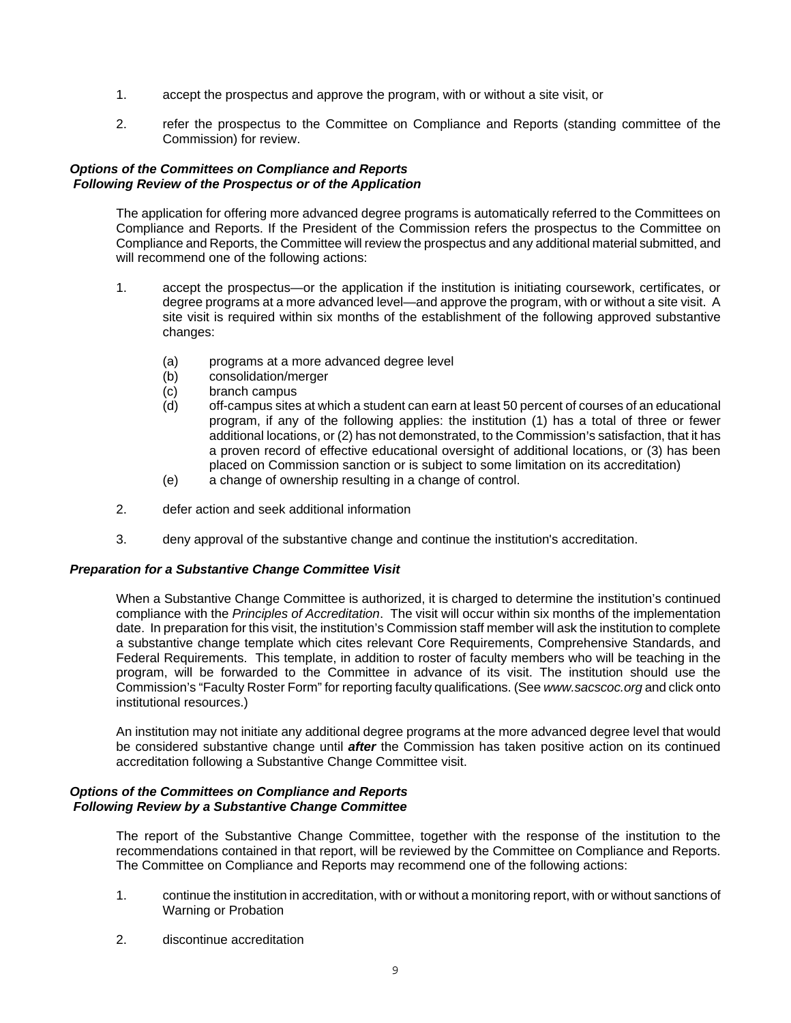- 1. accept the prospectus and approve the program, with or without a site visit, or
- 2. refer the prospectus to the Committee on Compliance and Reports (standing committee of the Commission) for review.

#### *Options of the Committees on Compliance and Reports Following Review of the Prospectus or of the Application*

The application for offering more advanced degree programs is automatically referred to the Committees on Compliance and Reports. If the President of the Commission refers the prospectus to the Committee on Compliance and Reports, the Committee will review the prospectus and any additional material submitted, and will recommend one of the following actions:

- 1. accept the prospectus—or the application if the institution is initiating coursework, certificates, or degree programs at a more advanced level—and approve the program, with or without a site visit. A site visit is required within six months of the establishment of the following approved substantive changes:
	- (a) programs at a more advanced degree level
	- (b) consolidation/merger
	- (c) branch campus
	- (d) off-campus sites at which a student can earn at least 50 percent of courses of an educational program, if any of the following applies: the institution (1) has a total of three or fewer additional locations, or (2) has not demonstrated, to the Commission's satisfaction, that it has a proven record of effective educational oversight of additional locations, or (3) has been placed on Commission sanction or is subject to some limitation on its accreditation)
	- (e) a change of ownership resulting in a change of control.
- 2. defer action and seek additional information
- 3. deny approval of the substantive change and continue the institution's accreditation.

## *Preparation for a Substantive Change Committee Visit*

When a Substantive Change Committee is authorized, it is charged to determine the institution's continued compliance with the *Principles of Accreditation*. The visit will occur within six months of the implementation date. In preparation for this visit, the institution's Commission staff member will ask the institution to complete a substantive change template which cites relevant Core Requirements, Comprehensive Standards, and Federal Requirements. This template, in addition to roster of faculty members who will be teaching in the program, will be forwarded to the Committee in advance of its visit. The institution should use the Commission's "Faculty Roster Form" for reporting faculty qualifications. (See *www.sacscoc.org* and click onto institutional resources.)

An institution may not initiate any additional degree programs at the more advanced degree level that would be considered substantive change until *after* the Commission has taken positive action on its continued accreditation following a Substantive Change Committee visit.

#### *Options of the Committees on Compliance and Reports Following Review by a Substantive Change Committee*

The report of the Substantive Change Committee, together with the response of the institution to the recommendations contained in that report, will be reviewed by the Committee on Compliance and Reports. The Committee on Compliance and Reports may recommend one of the following actions:

- 1. continue the institution in accreditation, with or without a monitoring report, with or without sanctions of Warning or Probation
- 2. discontinue accreditation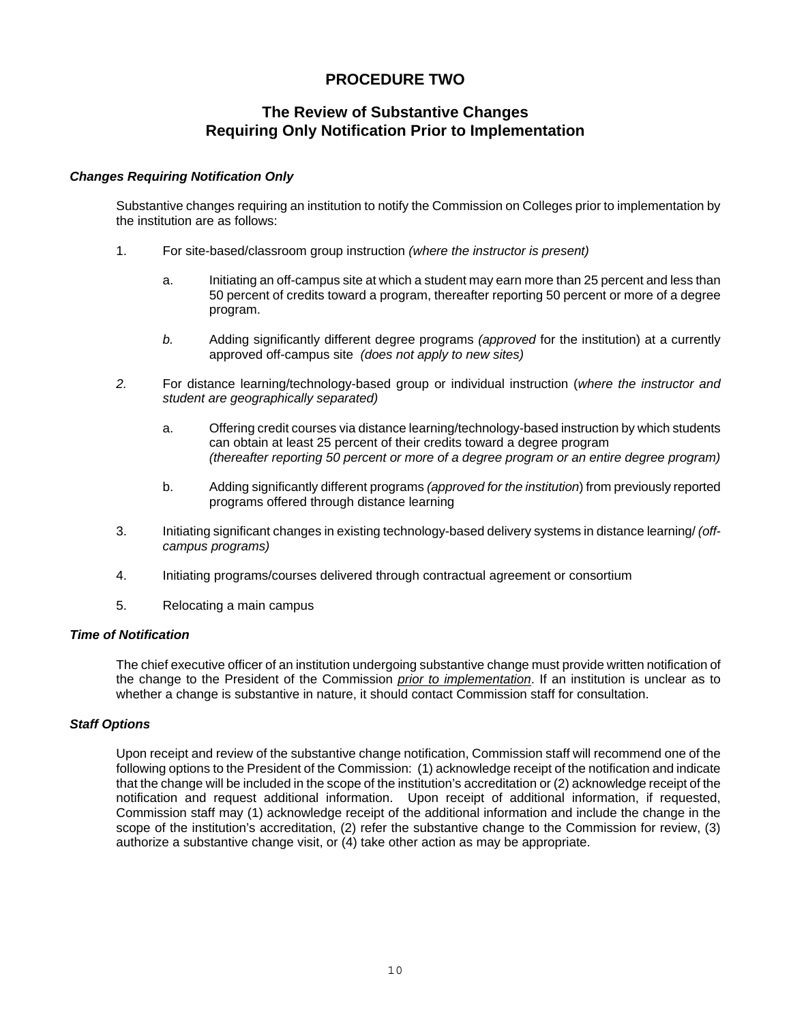# **PROCEDURE TWO**

## **The Review of Substantive Changes Requiring Only Notification Prior to Implementation**

#### *Changes Requiring Notification Only*

Substantive changes requiring an institution to notify the Commission on Colleges prior to implementation by the institution are as follows:

- 1. For site-based/classroom group instruction *(where the instructor is present)*
	- a. Initiating an off-campus site at which a student may earn more than 25 percent and less than 50 percent of credits toward a program, thereafter reporting 50 percent or more of a degree program.
	- *b.* Adding significantly different degree programs *(approved* for the institution) at a currently approved off-campus site *(does not apply to new sites)*
- *2.* For distance learning/technology-based group or individual instruction (*where the instructor and student are geographically separated)* 
	- a. Offering credit courses via distance learning/technology-based instruction by which students can obtain at least 25 percent of their credits toward a degree program *(thereafter reporting 50 percent or more of a degree program or an entire degree program)*
	- b. Adding significantly different programs *(approved for the institution*) from previously reported programs offered through distance learning
- 3. Initiating significant changes in existing technology-based delivery systems in distance learning/ *(offcampus programs)*
- 4. Initiating programs/courses delivered through contractual agreement or consortium
- 5. Relocating a main campus

#### *Time of Notification*

The chief executive officer of an institution undergoing substantive change must provide written notification of the change to the President of the Commission *prior to implementation*. If an institution is unclear as to whether a change is substantive in nature, it should contact Commission staff for consultation.

## *Staff Options*

Upon receipt and review of the substantive change notification, Commission staff will recommend one of the following options to the President of the Commission: (1) acknowledge receipt of the notification and indicate that the change will be included in the scope of the institution's accreditation or (2) acknowledge receipt of the notification and request additional information. Upon receipt of additional information, if requested, Commission staff may (1) acknowledge receipt of the additional information and include the change in the scope of the institution's accreditation, (2) refer the substantive change to the Commission for review, (3) authorize a substantive change visit, or (4) take other action as may be appropriate.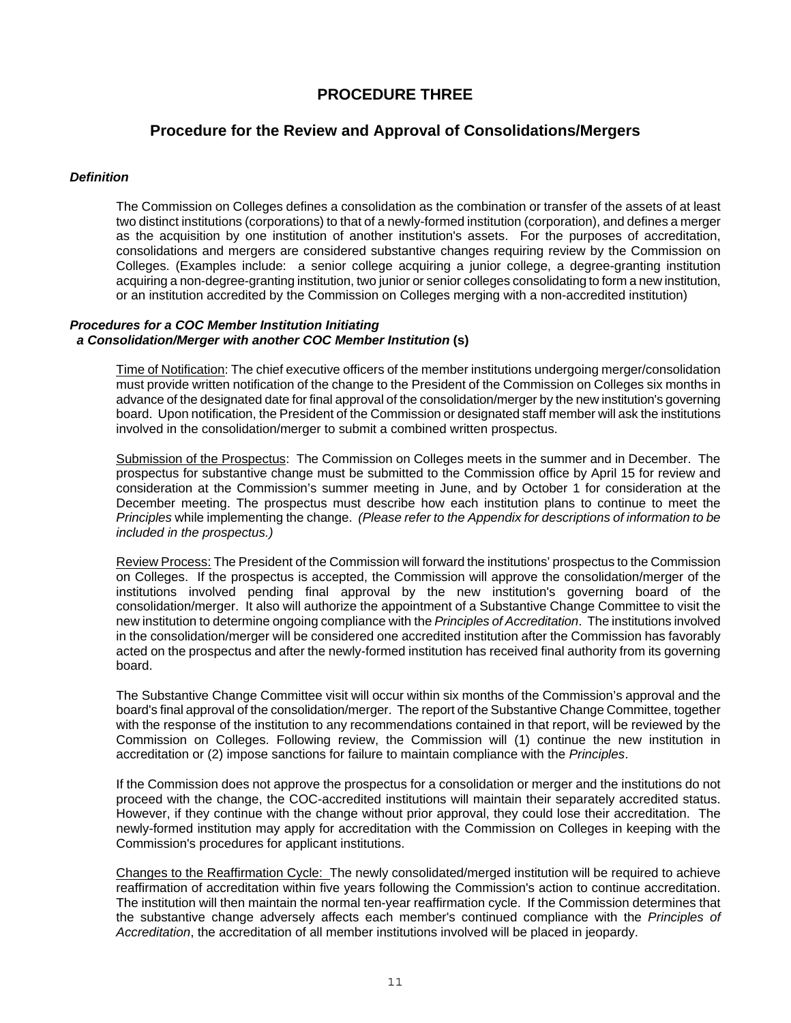## **PROCEDURE THREE**

## **Procedure for the Review and Approval of Consolidations/Mergers**

#### *Definition*

The Commission on Colleges defines a consolidation as the combination or transfer of the assets of at least two distinct institutions (corporations) to that of a newly-formed institution (corporation), and defines a merger as the acquisition by one institution of another institution's assets. For the purposes of accreditation, consolidations and mergers are considered substantive changes requiring review by the Commission on Colleges. (Examples include: a senior college acquiring a junior college, a degree-granting institution acquiring a non-degree-granting institution, two junior or senior colleges consolidating to form a new institution, or an institution accredited by the Commission on Colleges merging with a non-accredited institution)

## *Procedures for a COC Member Institution Initiating a Consolidation/Merger with another COC Member Institution* **(s)**

Time of Notification: The chief executive officers of the member institutions undergoing merger/consolidation must provide written notification of the change to the President of the Commission on Colleges six months in advance of the designated date for final approval of the consolidation/merger by the new institution's governing board. Upon notification, the President of the Commission or designated staff member will ask the institutions involved in the consolidation/merger to submit a combined written prospectus.

Submission of the Prospectus: The Commission on Colleges meets in the summer and in December. The prospectus for substantive change must be submitted to the Commission office by April 15 for review and consideration at the Commission's summer meeting in June, and by October 1 for consideration at the December meeting. The prospectus must describe how each institution plans to continue to meet the *Principles* while implementing the change. *(Please refer to the Appendix for descriptions of information to be included in the prospectus.)*

Review Process: The President of the Commission will forward the institutions' prospectus to the Commission on Colleges. If the prospectus is accepted, the Commission will approve the consolidation/merger of the institutions involved pending final approval by the new institution's governing board of the consolidation/merger. It also will authorize the appointment of a Substantive Change Committee to visit the new institution to determine ongoing compliance with the *Principles of Accreditation*. The institutions involved in the consolidation/merger will be considered one accredited institution after the Commission has favorably acted on the prospectus and after the newly-formed institution has received final authority from its governing board.

The Substantive Change Committee visit will occur within six months of the Commission's approval and the board's final approval of the consolidation/merger. The report of the Substantive Change Committee, together with the response of the institution to any recommendations contained in that report, will be reviewed by the Commission on Colleges. Following review, the Commission will (1) continue the new institution in accreditation or (2) impose sanctions for failure to maintain compliance with the *Principles*.

If the Commission does not approve the prospectus for a consolidation or merger and the institutions do not proceed with the change, the COC-accredited institutions will maintain their separately accredited status. However, if they continue with the change without prior approval, they could lose their accreditation. The newly-formed institution may apply for accreditation with the Commission on Colleges in keeping with the Commission's procedures for applicant institutions.

Changes to the Reaffirmation Cycle: The newly consolidated/merged institution will be required to achieve reaffirmation of accreditation within five years following the Commission's action to continue accreditation. The institution will then maintain the normal ten-year reaffirmation cycle. If the Commission determines that the substantive change adversely affects each member's continued compliance with the *Principles of Accreditation*, the accreditation of all member institutions involved will be placed in jeopardy.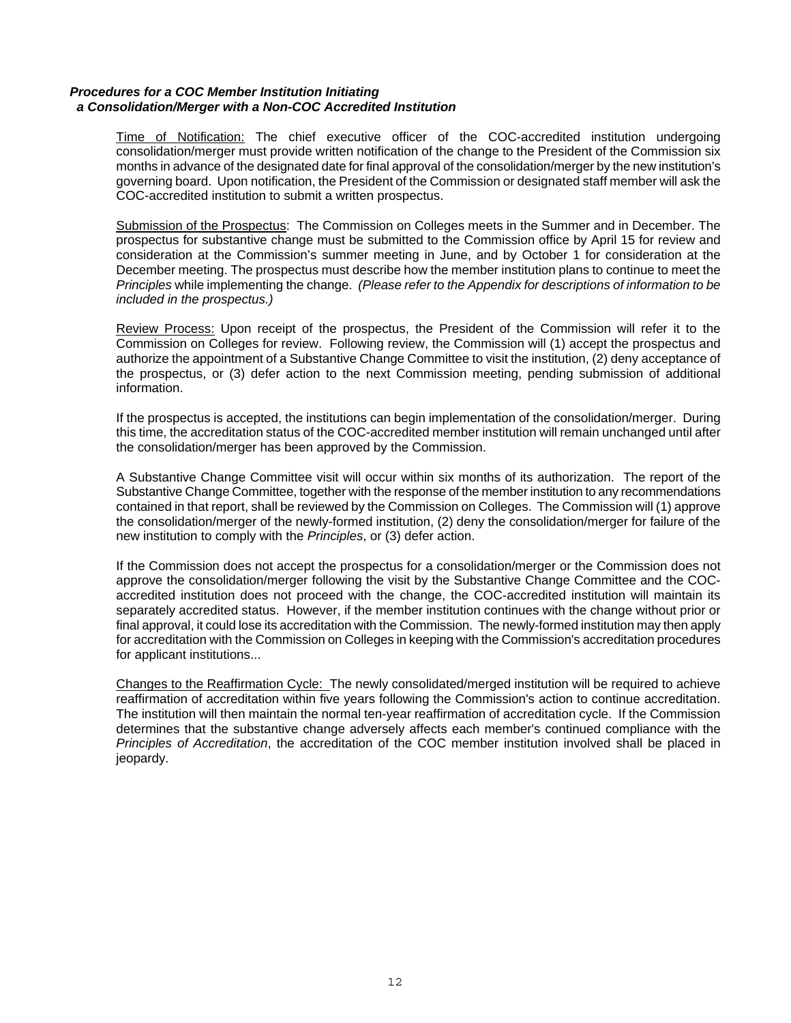#### *Procedures for a COC Member Institution Initiating a Consolidation/Merger with a Non-COC Accredited Institution*

Time of Notification: The chief executive officer of the COC-accredited institution undergoing consolidation/merger must provide written notification of the change to the President of the Commission six months in advance of the designated date for final approval of the consolidation/merger by the new institution's governing board. Upon notification, the President of the Commission or designated staff member will ask the COC-accredited institution to submit a written prospectus.

Submission of the Prospectus: The Commission on Colleges meets in the Summer and in December. The prospectus for substantive change must be submitted to the Commission office by April 15 for review and consideration at the Commission's summer meeting in June, and by October 1 for consideration at the December meeting. The prospectus must describe how the member institution plans to continue to meet the *Principles* while implementing the change. *(Please refer to the Appendix for descriptions of information to be included in the prospectus.)*

Review Process: Upon receipt of the prospectus, the President of the Commission will refer it to the Commission on Colleges for review. Following review, the Commission will (1) accept the prospectus and authorize the appointment of a Substantive Change Committee to visit the institution, (2) deny acceptance of the prospectus, or (3) defer action to the next Commission meeting, pending submission of additional information.

If the prospectus is accepted, the institutions can begin implementation of the consolidation/merger. During this time, the accreditation status of the COC-accredited member institution will remain unchanged until after the consolidation/merger has been approved by the Commission.

A Substantive Change Committee visit will occur within six months of its authorization. The report of the Substantive Change Committee, together with the response of the member institution to any recommendations contained in that report, shall be reviewed by the Commission on Colleges. The Commission will (1) approve the consolidation/merger of the newly-formed institution, (2) deny the consolidation/merger for failure of the new institution to comply with the *Principles*, or (3) defer action.

If the Commission does not accept the prospectus for a consolidation/merger or the Commission does not approve the consolidation/merger following the visit by the Substantive Change Committee and the COCaccredited institution does not proceed with the change, the COC-accredited institution will maintain its separately accredited status. However, if the member institution continues with the change without prior or final approval, it could lose its accreditation with the Commission. The newly-formed institution may then apply for accreditation with the Commission on Colleges in keeping with the Commission's accreditation procedures for applicant institutions...

Changes to the Reaffirmation Cycle: The newly consolidated/merged institution will be required to achieve reaffirmation of accreditation within five years following the Commission's action to continue accreditation. The institution will then maintain the normal ten-year reaffirmation of accreditation cycle. If the Commission determines that the substantive change adversely affects each member's continued compliance with the *Principles of Accreditation*, the accreditation of the COC member institution involved shall be placed in jeopardy.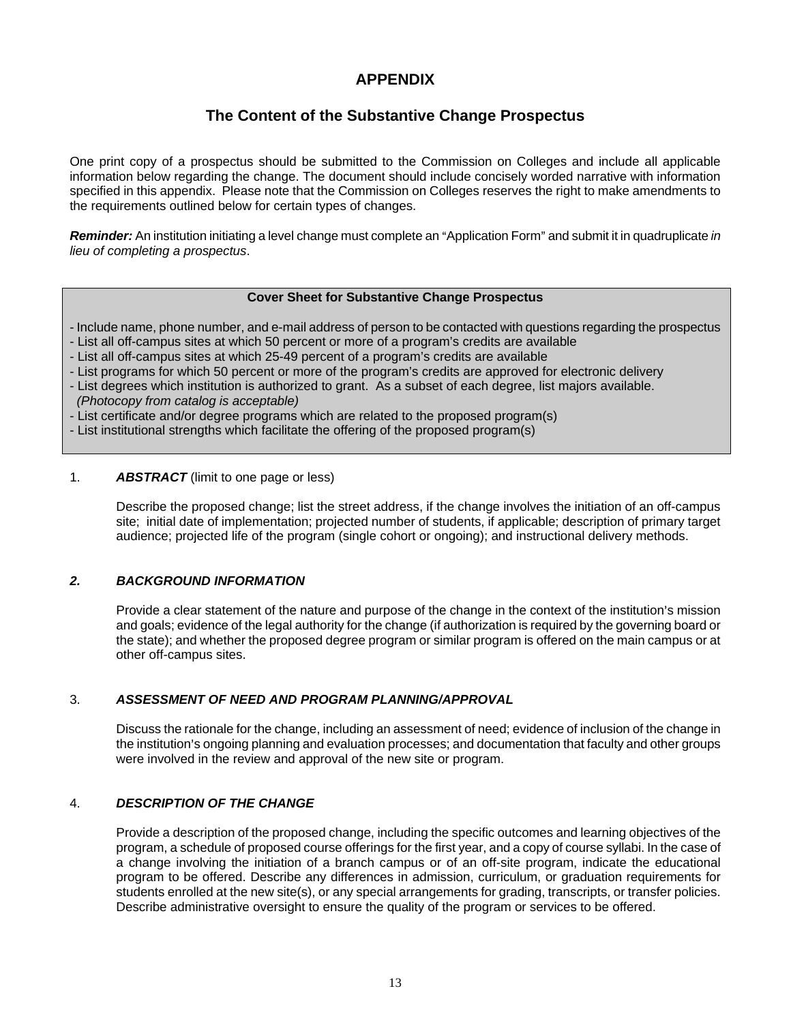# **APPENDIX**

# **The Content of the Substantive Change Prospectus**

One print copy of a prospectus should be submitted to the Commission on Colleges and include all applicable information below regarding the change. The document should include concisely worded narrative with information specified in this appendix. Please note that the Commission on Colleges reserves the right to make amendments to the requirements outlined below for certain types of changes.

*Reminder:* An institution initiating a level change must complete an "Application Form" and submit it in quadruplicate *in lieu of completing a prospectus*.

## **Cover Sheet for Substantive Change Prospectus**

- Include name, phone number, and e-mail address of person to be contacted with questions regarding the prospectus

- List all off-campus sites at which 50 percent or more of a program's credits are available
- List all off-campus sites at which 25-49 percent of a program's credits are available
- List programs for which 50 percent or more of the program's credits are approved for electronic delivery
- List degrees which institution is authorized to grant. As a subset of each degree, list majors available.  *(Photocopy from catalog is acceptable)*
- List certificate and/or degree programs which are related to the proposed program(s)
- List institutional strengths which facilitate the offering of the proposed program(s)

#### 1. *ABSTRACT* (limit to one page or less)

Describe the proposed change; list the street address, if the change involves the initiation of an off-campus site; initial date of implementation; projected number of students, if applicable; description of primary target audience; projected life of the program (single cohort or ongoing); and instructional delivery methods.

## *2. BACKGROUND INFORMATION*

Provide a clear statement of the nature and purpose of the change in the context of the institution's mission and goals; evidence of the legal authority for the change (if authorization is required by the governing board or the state); and whether the proposed degree program or similar program is offered on the main campus or at other off-campus sites.

## 3. *ASSESSMENT OF NEED AND PROGRAM PLANNING/APPROVAL*

Discuss the rationale for the change, including an assessment of need; evidence of inclusion of the change in the institution's ongoing planning and evaluation processes; and documentation that faculty and other groups were involved in the review and approval of the new site or program.

## 4. *DESCRIPTION OF THE CHANGE*

Provide a description of the proposed change, including the specific outcomes and learning objectives of the program, a schedule of proposed course offerings for the first year, and a copy of course syllabi. In the case of a change involving the initiation of a branch campus or of an off-site program, indicate the educational program to be offered. Describe any differences in admission, curriculum, or graduation requirements for students enrolled at the new site(s), or any special arrangements for grading, transcripts, or transfer policies. Describe administrative oversight to ensure the quality of the program or services to be offered.